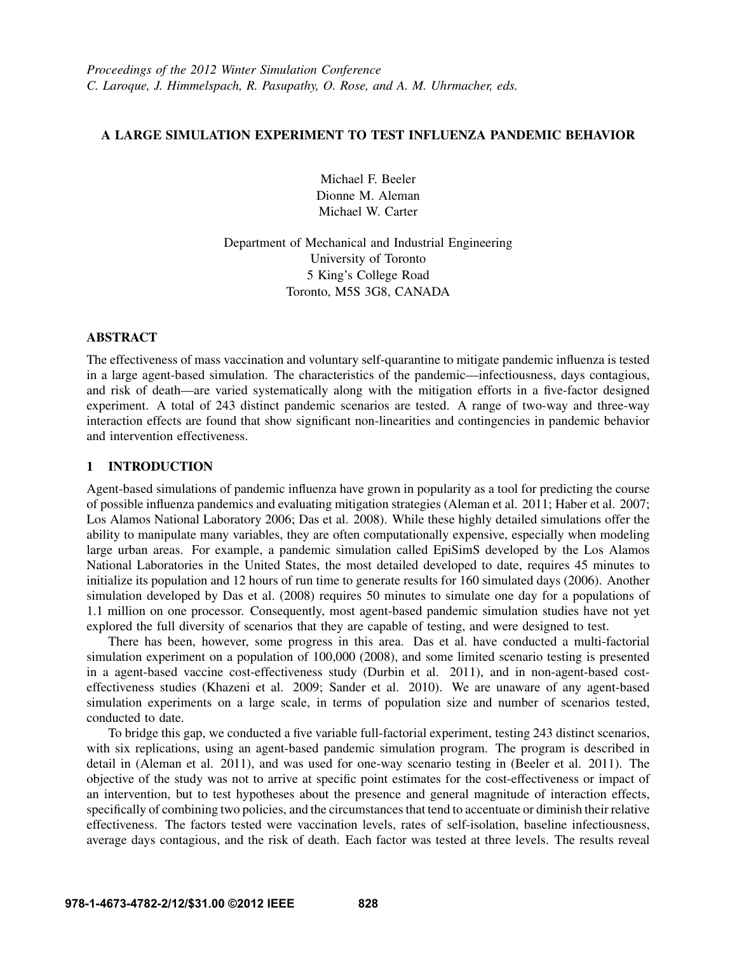## A LARGE SIMULATION EXPERIMENT TO TEST INFLUENZA PANDEMIC BEHAVIOR

Michael F. Beeler Dionne M. Aleman Michael W. Carter

Department of Mechanical and Industrial Engineering University of Toronto 5 King's College Road Toronto, M5S 3G8, CANADA

## ABSTRACT

The effectiveness of mass vaccination and voluntary self-quarantine to mitigate pandemic influenza is tested in a large agent-based simulation. The characteristics of the pandemic—infectiousness, days contagious, and risk of death—are varied systematically along with the mitigation efforts in a five-factor designed experiment. A total of 243 distinct pandemic scenarios are tested. A range of two-way and three-way interaction effects are found that show significant non-linearities and contingencies in pandemic behavior and intervention effectiveness.

## 1 INTRODUCTION

Agent-based simulations of pandemic influenza have grown in popularity as a tool for predicting the course of possible influenza pandemics and evaluating mitigation strategies (Aleman et al. 2011; Haber et al. 2007; Los Alamos National Laboratory 2006; Das et al. 2008). While these highly detailed simulations offer the ability to manipulate many variables, they are often computationally expensive, especially when modeling large urban areas. For example, a pandemic simulation called EpiSimS developed by the Los Alamos National Laboratories in the United States, the most detailed developed to date, requires 45 minutes to initialize its population and 12 hours of run time to generate results for 160 simulated days (2006). Another simulation developed by Das et al. (2008) requires 50 minutes to simulate one day for a populations of 1.1 million on one processor. Consequently, most agent-based pandemic simulation studies have not yet explored the full diversity of scenarios that they are capable of testing, and were designed to test.

There has been, however, some progress in this area. Das et al. have conducted a multi-factorial simulation experiment on a population of 100,000 (2008), and some limited scenario testing is presented in a agent-based vaccine cost-effectiveness study (Durbin et al. 2011), and in non-agent-based costeffectiveness studies (Khazeni et al. 2009; Sander et al. 2010). We are unaware of any agent-based simulation experiments on a large scale, in terms of population size and number of scenarios tested, conducted to date.

To bridge this gap, we conducted a five variable full-factorial experiment, testing 243 distinct scenarios, with six replications, using an agent-based pandemic simulation program. The program is described in detail in (Aleman et al. 2011), and was used for one-way scenario testing in (Beeler et al. 2011). The objective of the study was not to arrive at specific point estimates for the cost-effectiveness or impact of an intervention, but to test hypotheses about the presence and general magnitude of interaction effects, specifically of combining two policies, and the circumstances that tend to accentuate or diminish their relative effectiveness. The factors tested were vaccination levels, rates of self-isolation, baseline infectiousness, average days contagious, and the risk of death. Each factor was tested at three levels. The results reveal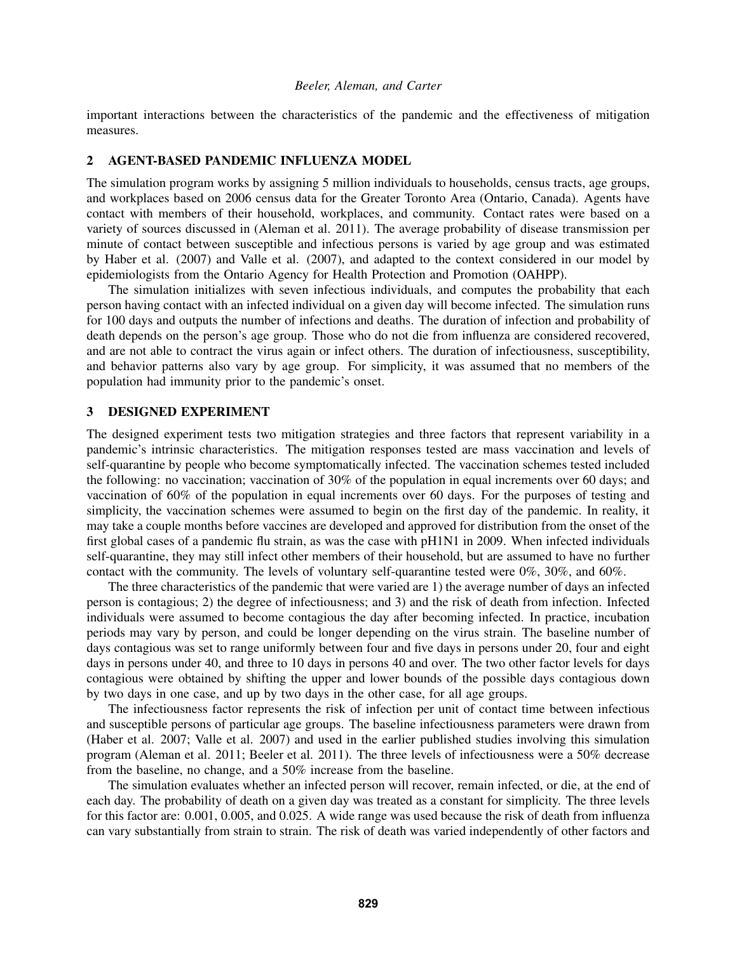important interactions between the characteristics of the pandemic and the effectiveness of mitigation measures.

### 2 AGENT-BASED PANDEMIC INFLUENZA MODEL

The simulation program works by assigning 5 million individuals to households, census tracts, age groups, and workplaces based on 2006 census data for the Greater Toronto Area (Ontario, Canada). Agents have contact with members of their household, workplaces, and community. Contact rates were based on a variety of sources discussed in (Aleman et al. 2011). The average probability of disease transmission per minute of contact between susceptible and infectious persons is varied by age group and was estimated by Haber et al. (2007) and Valle et al. (2007), and adapted to the context considered in our model by epidemiologists from the Ontario Agency for Health Protection and Promotion (OAHPP).

The simulation initializes with seven infectious individuals, and computes the probability that each person having contact with an infected individual on a given day will become infected. The simulation runs for 100 days and outputs the number of infections and deaths. The duration of infection and probability of death depends on the person's age group. Those who do not die from influenza are considered recovered, and are not able to contract the virus again or infect others. The duration of infectiousness, susceptibility, and behavior patterns also vary by age group. For simplicity, it was assumed that no members of the population had immunity prior to the pandemic's onset.

### 3 DESIGNED EXPERIMENT

The designed experiment tests two mitigation strategies and three factors that represent variability in a pandemic's intrinsic characteristics. The mitigation responses tested are mass vaccination and levels of self-quarantine by people who become symptomatically infected. The vaccination schemes tested included the following: no vaccination; vaccination of 30% of the population in equal increments over 60 days; and vaccination of 60% of the population in equal increments over 60 days. For the purposes of testing and simplicity, the vaccination schemes were assumed to begin on the first day of the pandemic. In reality, it may take a couple months before vaccines are developed and approved for distribution from the onset of the first global cases of a pandemic flu strain, as was the case with pH1N1 in 2009. When infected individuals self-quarantine, they may still infect other members of their household, but are assumed to have no further contact with the community. The levels of voluntary self-quarantine tested were 0%, 30%, and 60%.

The three characteristics of the pandemic that were varied are 1) the average number of days an infected person is contagious; 2) the degree of infectiousness; and 3) and the risk of death from infection. Infected individuals were assumed to become contagious the day after becoming infected. In practice, incubation periods may vary by person, and could be longer depending on the virus strain. The baseline number of days contagious was set to range uniformly between four and five days in persons under 20, four and eight days in persons under 40, and three to 10 days in persons 40 and over. The two other factor levels for days contagious were obtained by shifting the upper and lower bounds of the possible days contagious down by two days in one case, and up by two days in the other case, for all age groups.

The infectiousness factor represents the risk of infection per unit of contact time between infectious and susceptible persons of particular age groups. The baseline infectiousness parameters were drawn from (Haber et al. 2007; Valle et al. 2007) and used in the earlier published studies involving this simulation program (Aleman et al. 2011; Beeler et al. 2011). The three levels of infectiousness were a 50% decrease from the baseline, no change, and a 50% increase from the baseline.

The simulation evaluates whether an infected person will recover, remain infected, or die, at the end of each day. The probability of death on a given day was treated as a constant for simplicity. The three levels for this factor are: 0.001, 0.005, and 0.025. A wide range was used because the risk of death from influenza can vary substantially from strain to strain. The risk of death was varied independently of other factors and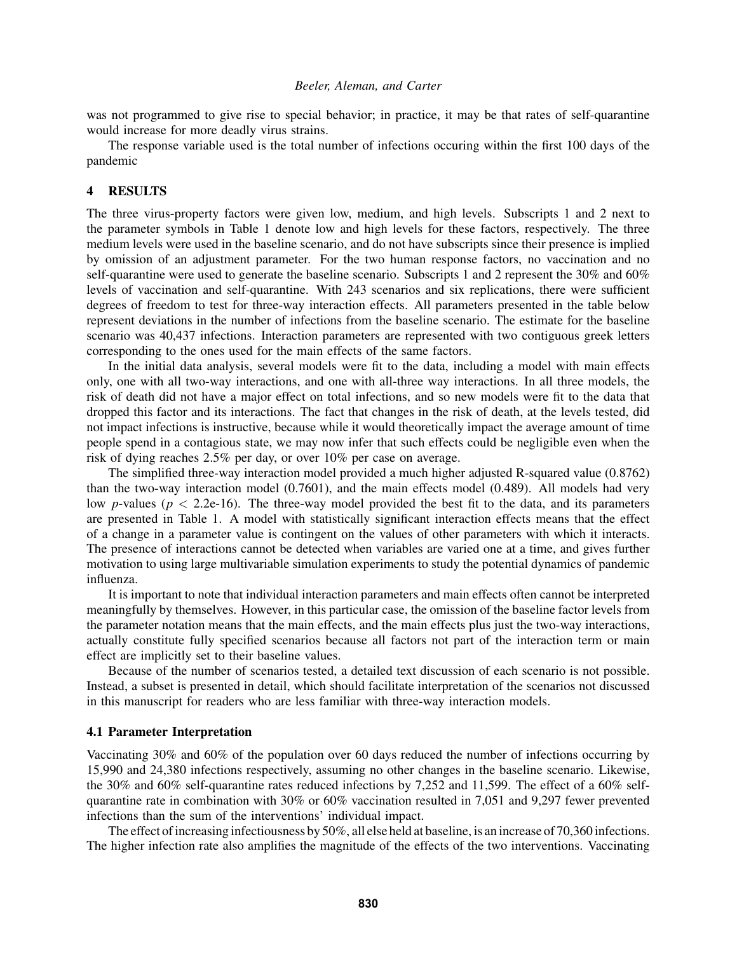was not programmed to give rise to special behavior; in practice, it may be that rates of self-quarantine would increase for more deadly virus strains.

The response variable used is the total number of infections occuring within the first 100 days of the pandemic

### 4 RESULTS

The three virus-property factors were given low, medium, and high levels. Subscripts 1 and 2 next to the parameter symbols in Table 1 denote low and high levels for these factors, respectively. The three medium levels were used in the baseline scenario, and do not have subscripts since their presence is implied by omission of an adjustment parameter. For the two human response factors, no vaccination and no self-quarantine were used to generate the baseline scenario. Subscripts 1 and 2 represent the 30% and 60% levels of vaccination and self-quarantine. With 243 scenarios and six replications, there were sufficient degrees of freedom to test for three-way interaction effects. All parameters presented in the table below represent deviations in the number of infections from the baseline scenario. The estimate for the baseline scenario was 40,437 infections. Interaction parameters are represented with two contiguous greek letters corresponding to the ones used for the main effects of the same factors.

In the initial data analysis, several models were fit to the data, including a model with main effects only, one with all two-way interactions, and one with all-three way interactions. In all three models, the risk of death did not have a major effect on total infections, and so new models were fit to the data that dropped this factor and its interactions. The fact that changes in the risk of death, at the levels tested, did not impact infections is instructive, because while it would theoretically impact the average amount of time people spend in a contagious state, we may now infer that such effects could be negligible even when the risk of dying reaches 2.5% per day, or over 10% per case on average.

The simplified three-way interaction model provided a much higher adjusted R-squared value (0.8762) than the two-way interaction model (0.7601), and the main effects model (0.489). All models had very low *p*-values ( $p < 2.2e-16$ ). The three-way model provided the best fit to the data, and its parameters are presented in Table 1. A model with statistically significant interaction effects means that the effect of a change in a parameter value is contingent on the values of other parameters with which it interacts. The presence of interactions cannot be detected when variables are varied one at a time, and gives further motivation to using large multivariable simulation experiments to study the potential dynamics of pandemic influenza.

It is important to note that individual interaction parameters and main effects often cannot be interpreted meaningfully by themselves. However, in this particular case, the omission of the baseline factor levels from the parameter notation means that the main effects, and the main effects plus just the two-way interactions, actually constitute fully specified scenarios because all factors not part of the interaction term or main effect are implicitly set to their baseline values.

Because of the number of scenarios tested, a detailed text discussion of each scenario is not possible. Instead, a subset is presented in detail, which should facilitate interpretation of the scenarios not discussed in this manuscript for readers who are less familiar with three-way interaction models.

### 4.1 Parameter Interpretation

Vaccinating 30% and 60% of the population over 60 days reduced the number of infections occurring by 15,990 and 24,380 infections respectively, assuming no other changes in the baseline scenario. Likewise, the 30% and 60% self-quarantine rates reduced infections by 7,252 and 11,599. The effect of a 60% selfquarantine rate in combination with 30% or 60% vaccination resulted in 7,051 and 9,297 fewer prevented infections than the sum of the interventions' individual impact.

The effect of increasing infectiousness by 50%, all else held at baseline, is an increase of 70,360 infections. The higher infection rate also amplifies the magnitude of the effects of the two interventions. Vaccinating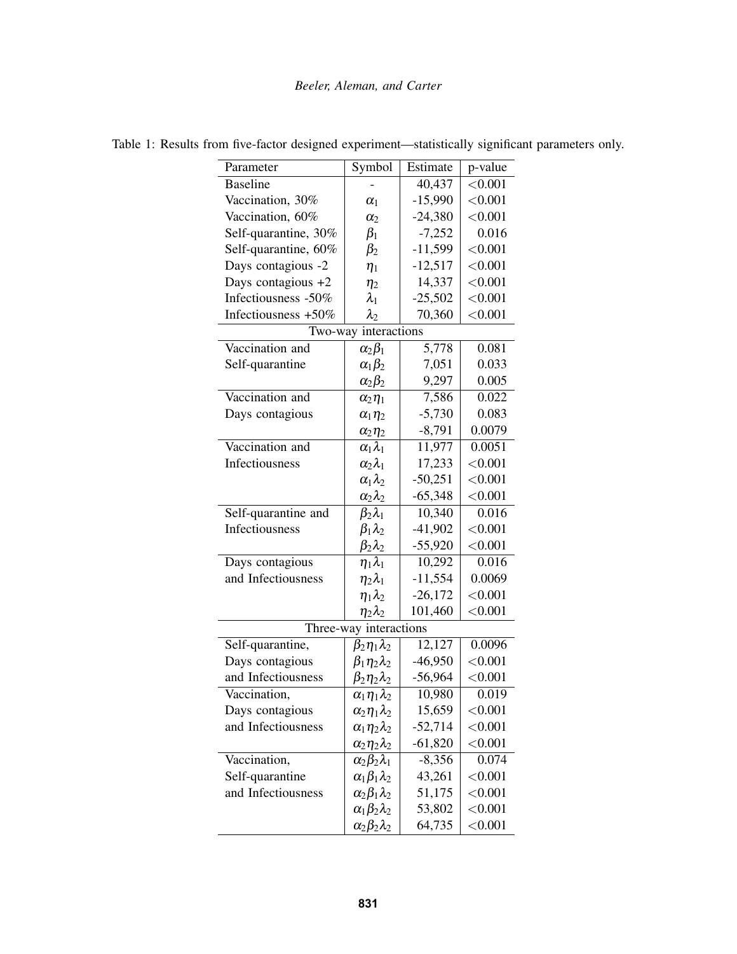| Parameter               | Symbol                     | Estimate  | p-value               |
|-------------------------|----------------------------|-----------|-----------------------|
| <b>Baseline</b>         |                            | 40,437    | < 0.001               |
| Vaccination, 30%        | $\alpha_1$                 | $-15,990$ | < 0.001               |
| Vaccination, 60%        | $\alpha$                   | $-24,380$ | < 0.001               |
| Self-quarantine, 30%    | $\beta_1$                  | $-7,252$  | 0.016                 |
| Self-quarantine, 60%    | $\beta_2$                  | $-11,599$ | < 0.001               |
| Days contagious -2      | $\eta_1$                   | $-12,517$ | < 0.001               |
| Days contagious +2      | $\eta_2$                   | 14,337    | < 0.001               |
| Infectiousness -50%     | $\lambda_1$                | $-25,502$ | < 0.001               |
| Infectiousness +50%     | $\lambda_2$                | 70,360    | < 0.001               |
| interactions<br>Two-way |                            |           |                       |
| Vaccination and         | $\alpha_2\beta_1$          | 5,778     | 0.081                 |
| Self-quarantine         | $\alpha_1\beta_2$          | 7,051     | 0.033                 |
|                         | $\alpha_2\beta_2$          | 9,297     | 0.005                 |
| Vaccination and         | $\alpha_2\eta_1$           | 7,586     | $\frac{0.022}{0.022}$ |
| Days contagious         | $\alpha_1 \eta_2$          | $-5,730$  | 0.083                 |
|                         | $\alpha_2 \eta_2$          | $-8,791$  | 0.0079                |
| Vaccination and         | $\alpha_1\lambda_1$        | 11,977    | 0.0051                |
| Infectiousness          | $\alpha_2\lambda_1$        | 17,233    | < 0.001               |
|                         | $\alpha_1\lambda_2$        | $-50,251$ | < 0.001               |
|                         | $\alpha_2\lambda_2$        | $-65,348$ | < 0.001               |
| Self-quarantine and     | $\beta_2\lambda_1$         | 10,340    | 0.016                 |
| Infectiousness          | $\beta_1\lambda_2$         | $-41,902$ | < 0.001               |
|                         | $\beta_2\lambda_2$         | $-55,920$ | < 0.001               |
| Days contagious         | $\eta_1\lambda_1$          | 10,292    | 0.016                 |
| and Infectiousness      | $\eta_2\lambda_1$          | $-11,554$ | 0.0069                |
|                         | $\eta_1\lambda_2$          | $-26,172$ | < 0.001               |
|                         | $\eta_2 \lambda_2$         | 101,460   | < 0.001               |
| Three-way interactions  |                            |           |                       |
| Self-quarantine,        | $\beta_2\eta_1\lambda_2$   | 12,127    | 0.0096                |
| Days contagious         | $\beta_1 \eta_2 \lambda_2$ | $-46,950$ | < 0.001               |
| and Infectiousness      | $\beta_2\eta_2\lambda_2$   | $-56,964$ | < 0.001               |
| Vaccination,            | $\alpha_1\eta_1\lambda_2$  | 10,980    | 0.019                 |
| Days contagious         | $\alpha_2\eta_1\lambda_2$  | 15,659    | < 0.001               |
| and Infectiousness      | $\alpha_1\eta_2\lambda_2$  | $-52,714$ | < 0.001               |
|                         | $\alpha_2\eta_2\lambda_2$  | $-61,820$ | < 0.001               |
| Vaccination,            | $\alpha_2\beta_2\lambda_1$ | $-8,356$  | 0.074                 |
| Self-quarantine         | $\alpha_1\beta_1\lambda_2$ | 43,261    | < 0.001               |
| and Infectiousness      | $\alpha_2\beta_1\lambda_2$ | 51,175    | < 0.001               |
|                         | $\alpha_1\beta_2\lambda_2$ | 53,802    | < 0.001               |
|                         | $\alpha_2\beta_2\lambda_2$ | 64,735    | < 0.001               |

Table 1: Results from five-factor designed experiment—statistically significant parameters only.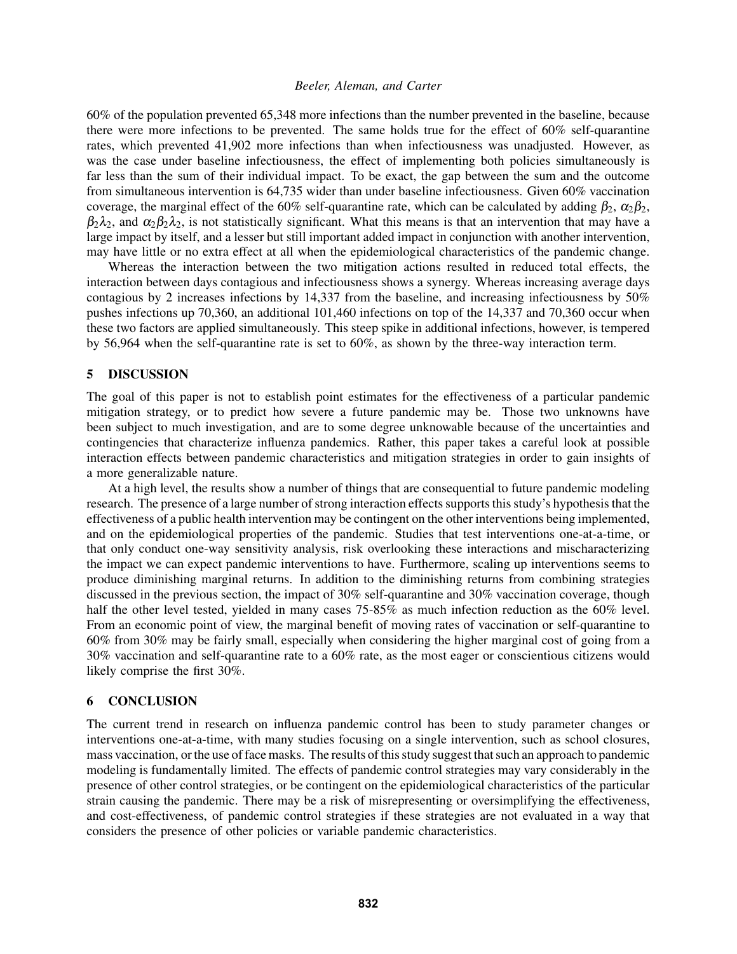60% of the population prevented 65,348 more infections than the number prevented in the baseline, because there were more infections to be prevented. The same holds true for the effect of 60% self-quarantine rates, which prevented 41,902 more infections than when infectiousness was unadjusted. However, as was the case under baseline infectiousness, the effect of implementing both policies simultaneously is far less than the sum of their individual impact. To be exact, the gap between the sum and the outcome from simultaneous intervention is 64,735 wider than under baseline infectiousness. Given 60% vaccination coverage, the marginal effect of the 60% self-quarantine rate, which can be calculated by adding  $\beta_2$ ,  $\alpha_2\beta_2$ ,  $\beta_2\lambda_2$ , and  $\alpha_2\beta_2\lambda_2$ , is not statistically significant. What this means is that an intervention that may have a large impact by itself, and a lesser but still important added impact in conjunction with another intervention, may have little or no extra effect at all when the epidemiological characteristics of the pandemic change.

Whereas the interaction between the two mitigation actions resulted in reduced total effects, the interaction between days contagious and infectiousness shows a synergy. Whereas increasing average days contagious by 2 increases infections by 14,337 from the baseline, and increasing infectiousness by 50% pushes infections up 70,360, an additional 101,460 infections on top of the 14,337 and 70,360 occur when these two factors are applied simultaneously. This steep spike in additional infections, however, is tempered by 56,964 when the self-quarantine rate is set to 60%, as shown by the three-way interaction term.

## 5 DISCUSSION

The goal of this paper is not to establish point estimates for the effectiveness of a particular pandemic mitigation strategy, or to predict how severe a future pandemic may be. Those two unknowns have been subject to much investigation, and are to some degree unknowable because of the uncertainties and contingencies that characterize influenza pandemics. Rather, this paper takes a careful look at possible interaction effects between pandemic characteristics and mitigation strategies in order to gain insights of a more generalizable nature.

At a high level, the results show a number of things that are consequential to future pandemic modeling research. The presence of a large number of strong interaction effects supports this study's hypothesis that the effectiveness of a public health intervention may be contingent on the other interventions being implemented, and on the epidemiological properties of the pandemic. Studies that test interventions one-at-a-time, or that only conduct one-way sensitivity analysis, risk overlooking these interactions and mischaracterizing the impact we can expect pandemic interventions to have. Furthermore, scaling up interventions seems to produce diminishing marginal returns. In addition to the diminishing returns from combining strategies discussed in the previous section, the impact of 30% self-quarantine and 30% vaccination coverage, though half the other level tested, yielded in many cases 75-85% as much infection reduction as the 60% level. From an economic point of view, the marginal benefit of moving rates of vaccination or self-quarantine to 60% from 30% may be fairly small, especially when considering the higher marginal cost of going from a 30% vaccination and self-quarantine rate to a 60% rate, as the most eager or conscientious citizens would likely comprise the first 30%.

### 6 CONCLUSION

The current trend in research on influenza pandemic control has been to study parameter changes or interventions one-at-a-time, with many studies focusing on a single intervention, such as school closures, mass vaccination, or the use of face masks. The results of this study suggest that such an approach to pandemic modeling is fundamentally limited. The effects of pandemic control strategies may vary considerably in the presence of other control strategies, or be contingent on the epidemiological characteristics of the particular strain causing the pandemic. There may be a risk of misrepresenting or oversimplifying the effectiveness, and cost-effectiveness, of pandemic control strategies if these strategies are not evaluated in a way that considers the presence of other policies or variable pandemic characteristics.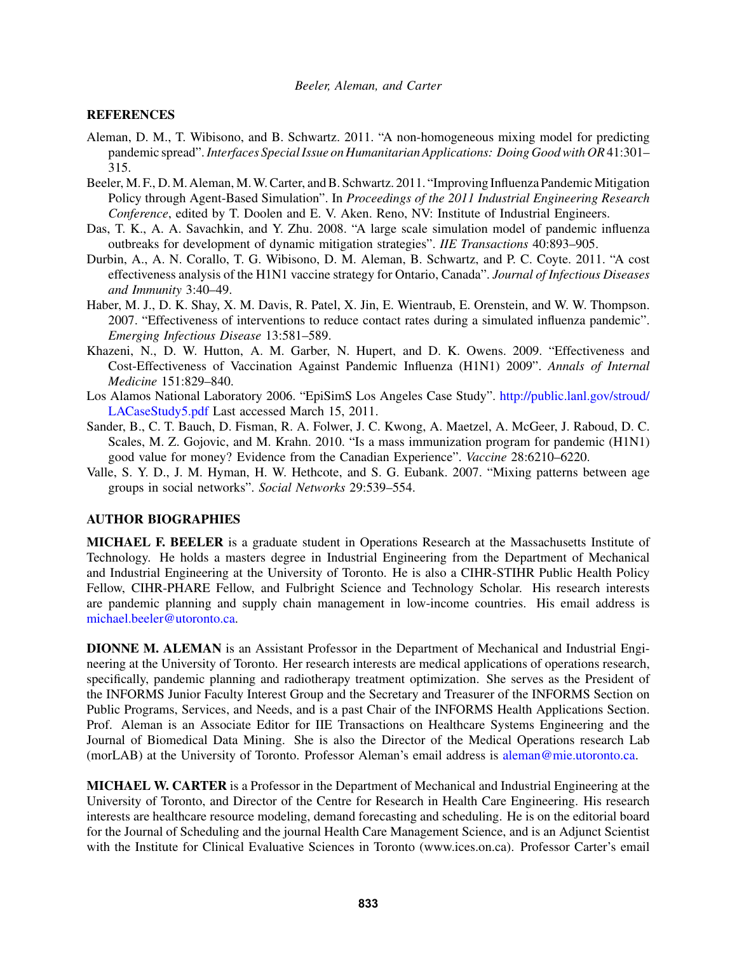### **REFERENCES**

- Aleman, D. M., T. Wibisono, and B. Schwartz. 2011. "A non-homogeneous mixing model for predicting pandemic spread".*Interfaces Special Issue on Humanitarian Applications: Doing Good with OR*41:301– 315.
- Beeler, M. F., D. M. Aleman, M. W. Carter, and B. Schwartz. 2011. "Improving Influenza Pandemic Mitigation Policy through Agent-Based Simulation". In *Proceedings of the 2011 Industrial Engineering Research Conference*, edited by T. Doolen and E. V. Aken. Reno, NV: Institute of Industrial Engineers.
- Das, T. K., A. A. Savachkin, and Y. Zhu. 2008. "A large scale simulation model of pandemic influenza outbreaks for development of dynamic mitigation strategies". *IIE Transactions* 40:893–905.
- Durbin, A., A. N. Corallo, T. G. Wibisono, D. M. Aleman, B. Schwartz, and P. C. Coyte. 2011. "A cost effectiveness analysis of the H1N1 vaccine strategy for Ontario, Canada". *Journal of Infectious Diseases and Immunity* 3:40–49.
- Haber, M. J., D. K. Shay, X. M. Davis, R. Patel, X. Jin, E. Wientraub, E. Orenstein, and W. W. Thompson. 2007. "Effectiveness of interventions to reduce contact rates during a simulated influenza pandemic". *Emerging Infectious Disease* 13:581–589.
- Khazeni, N., D. W. Hutton, A. M. Garber, N. Hupert, and D. K. Owens. 2009. "Effectiveness and Cost-Effectiveness of Vaccination Against Pandemic Influenza (H1N1) 2009". *Annals of Internal Medicine* 151:829–840.
- Los Alamos National Laboratory 2006. "EpiSimS Los Angeles Case Study". http://public.lanl.gov/stroud/ LACaseStudy5.pdf Last accessed March 15, 2011.
- Sander, B., C. T. Bauch, D. Fisman, R. A. Folwer, J. C. Kwong, A. Maetzel, A. McGeer, J. Raboud, D. C. Scales, M. Z. Gojovic, and M. Krahn. 2010. "Is a mass immunization program for pandemic (H1N1) good value for money? Evidence from the Canadian Experience". *Vaccine* 28:6210–6220.
- Valle, S. Y. D., J. M. Hyman, H. W. Hethcote, and S. G. Eubank. 2007. "Mixing patterns between age groups in social networks". *Social Networks* 29:539–554.

## AUTHOR BIOGRAPHIES

MICHAEL F. BEELER is a graduate student in Operations Research at the Massachusetts Institute of Technology. He holds a masters degree in Industrial Engineering from the Department of Mechanical and Industrial Engineering at the University of Toronto. He is also a CIHR-STIHR Public Health Policy Fellow, CIHR-PHARE Fellow, and Fulbright Science and Technology Scholar. His research interests are pandemic planning and supply chain management in low-income countries. His email address is michael.beeler@utoronto.ca.

DIONNE M. ALEMAN is an Assistant Professor in the Department of Mechanical and Industrial Engineering at the University of Toronto. Her research interests are medical applications of operations research, specifically, pandemic planning and radiotherapy treatment optimization. She serves as the President of the INFORMS Junior Faculty Interest Group and the Secretary and Treasurer of the INFORMS Section on Public Programs, Services, and Needs, and is a past Chair of the INFORMS Health Applications Section. Prof. Aleman is an Associate Editor for IIE Transactions on Healthcare Systems Engineering and the Journal of Biomedical Data Mining. She is also the Director of the Medical Operations research Lab (morLAB) at the University of Toronto. Professor Aleman's email address is aleman@mie.utoronto.ca.

MICHAEL W. CARTER is a Professor in the Department of Mechanical and Industrial Engineering at the University of Toronto, and Director of the Centre for Research in Health Care Engineering. His research interests are healthcare resource modeling, demand forecasting and scheduling. He is on the editorial board for the Journal of Scheduling and the journal Health Care Management Science, and is an Adjunct Scientist with the Institute for Clinical Evaluative Sciences in Toronto (www.ices.on.ca). Professor Carter's email